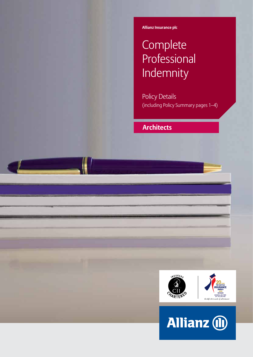**Allianz Insurance plc**

# **Complete Professional** Indemnity

Policy Details (including Policy Summary pages 1–4)

## **Architects**



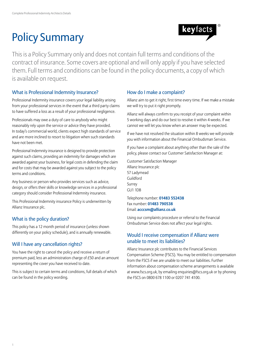# Policy Summary



This is a Policy Summary only and does not contain full terms and conditions of the contract of insurance. Some covers are optional and will only apply if you have selected them. Full terms and conditions can be found in the policy documents, a copy of which is available on request.

## What is Professional Indemnity Insurance?

Professional Indemnity insurance covers your legal liability arising from your professional services in the event that a third party claims to have suffered a loss as a result of your professional negligence.

Professionals may owe a duty of care to anybody who might reasonably rely upon the service or advice they have provided. In today's commercial world, clients expect high standards of service and are more inclined to resort to litigation when such standards have not been met.

Professional Indemnity insurance is designed to provide protection against such claims, providing an indemnity for damages which are awarded against your business, for legal costs in defending the claim and for costs that may be awarded against you subject to the policy terms and conditions.

Any business or person who provides services such as advice, design, or offers their skills or knowledge services in a professional category should consider Professional Indemnity insurance.

This Professional Indemnity insurance Policy is underwritten by Allianz Insurance plc.

## What is the policy duration?

This policy has a 12 month period of insurance (unless shown differently on your policy schedule), and is annually renewable.

## Will I have any cancellation rights?

You have the right to cancel the policy and receive a return of premium paid, less an administration charge of £50 and an amount representing the cover you have received to date.

This is subject to certain terms and conditions, full details of which can be found in the policy wording.

## How do I make a complaint?

Allianz aim to get it right, first time every time. If we make a mistake we will try to put it right promptly.

Allianz will always confirm to you receipt of your complaint within 5 working days and do our best to resolve it within 4 weeks. If we cannot we will let you know when an answer may be expected.

If we have not resolved the situation within 8 weeks we will provide you with information about the Financial Ombudsman Service.

If you have a complaint about anything other than the sale of the policy, please contact our Customer Satisfaction Manager at:

Customer Satisfaction Manager Allianz Insurance plc 57 Ladymead Guildford Surrey GU1 1DB

Telephone number: **01483 552438** Fax number: **01483 790538** Email: **acccsm@allianz.co.uk**

Using our complaints procedure or referral to the Financial Ombudsman Service does not affect your legal rights.

## Would I receive compensation if Allianz were unable to meet its liabilities?

Allianz Insurance plc contributes to the Financial Services Compensation Scheme (FSCS). You may be entitled to compensation from the FSCS if we are unable to meet our liabilities. Further information about compensation scheme arrangements is available at www.fscs.org.uk, by emailing enquiries@fscs.org.uk or by phoning the FSCS on 0800 678 1100 or 0207 741 4100.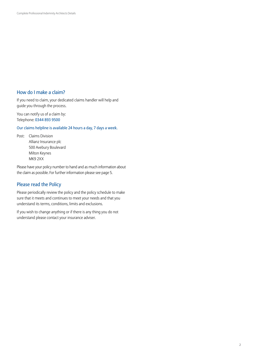### How do I make a claim?

If you need to claim, your dedicated claims handler will help and guide you through the process.

You can notify us of a claim by: Telephone: 0344 893 9500

Our claims helpline is available 24 hours a day, 7 days a week.

Post: Claims Division Allianz Insurance plc 500 Avebury Boulevard Milton Keynes MK9 2XX

Please have your policy number to hand and as much information about the claim as possible. For further information please see page 5.

## Please read the Policy

Please periodically review the policy and the policy schedule to make sure that it meets and continues to meet your needs and that you understand its terms, conditions, limits and exclusions.

If you wish to change anything or if there is any thing you do not understand please contact your insurance adviser.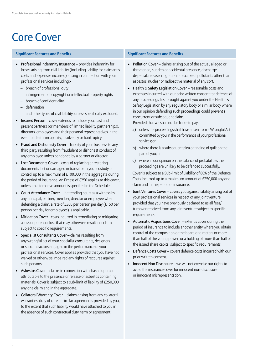## Core Cover

### **Significant Features and Benefits Significant Features and Benefits**

- Professional Indemnity Insurance provides indemnity for losses arising from civil liability (including liability for claimant's costs and expenses incurred) arising in connection with your professional services including:-
	- breach of professional duty
	- infringement of copyright or intellectual property rights
	- breach of confidentiality
	- defamation
	- and other types of civil liability, unless specifically excluded.
- Insured Person cover extends to include you, past and present partners (or members of limited liability partnerships), directors, employees and their personal representatives in the event of death, incapacity, insolvency or bankruptcy.
- Fraud and Dishonesty Cover liability of your business to any third party resulting from fraudulent or dishonest conduct of any employee unless condoned by a partner or director.
- Lost Documents Cover costs of replacing or restoring documents lost or damaged in transit or in your custody or control up to a maximum of £100,000 in the aggregate during the period of insurance. An Excess of £250 applies to this cover, unless an alternative amount is specified in the Schedule.
- Court Attendance Cover if attending court as a witness by any principal, partner, member, director or employee when defending a claim, a rate of £300 per person per day (£150 per person per day for employees) is applicable.
- Mitigation Cover– costs incurred in remediating or mitigating a loss or potential loss that may otherwise result in a claim subject to specific requirements.
- Specialist Consultants Cover claims resulting from any wrongful act of your specialist consultants, designers or subcontractors engaged in the performance of your professional services. Cover applies provided that you have not waived or otherwise impaired any rights of recourse against such persons.
- Asbestos Cover claims in connection with, based upon or attributable to the presence or release of asbestos containing materials. Cover is subject to a sub-limit of liability of £250,000 any one claim and in the aggregate.
- Collateral Warranty Cover claims arising from any collateral warranties, duty of care or similar agreements provided by you, to the extent that such liability would have attached to you in the absence of such contractual duty, term or agreement.

- Pollution Cover claims arising out of the actual, alleged or threatened, sudden or accidental presence, discharge, dispersal, release, migration or escape of pollutants other than asbestos, nuclear or radioactive material of any sort.
- Health & Safety Legislation Cover reasonable costs and expenses incurred with our prior written consent for defence of any proceedings first brought against you under the Health & Safety Legislation by any regulatory body or similar body where in our opinion defending such proceedings could prevent a concurrent or subsequent claim.

Provided that we shall not be liable to pay:

- a) unless the proceedings shall have arisen from a Wrongful Act committed by you in the performance of your professional services; or
- b) where there is a subsequent plea of finding of guilt on the part of you; or
- c) where in our opinion on the balance of probabilities the proceedings are unlikely to be defended successfully.

Cover is subject to a Sub-limit of Liability of 80% of the Defence Costs incurred up to a maximum amount of £250,000 any one claim and in the period of insurance.

- Joint Ventures Cover covers you against liability arising out of your professional services in respect of any joint venture, provided that you have previously declared to us all fees/ turnover received from any joint venture subject to specific requirements.
- Automatic Acquisitions Cover extends cover during the period of insurance to include another entity where you obtain control of the composition of the board of directors or more than half of the voting power; or a holding of more than half of the issued share capital subject to specific requirements.
- Defence Costs Cover covers defence costs incurred with our prior written consent.
- Innocent Non Disclosure we will not exercise our rights to avoid the insurance cover for innocent non-disclosure or innocent misrepresentation.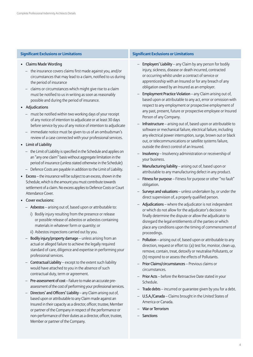- Claims Made Wording
	- the insurance covers claims first made against you, and/or circumstances that may lead to a claim, notified to us during the period of insurance
	- claims or circumstances which might give rise to a claim must be notified to us in writing as soon as reasonably possible and during the period of insurance.
- Adjudications
	- must be notified within two working days of your receipt of any notice of intention to adjudicate or at least 30 days before service by you of any notice of intention to adjudicate
	- immediate notice must be given to us of an ombudsman's review of a case connected with your professional services.
- Limit of Liability
	- the Limit of Liability is specified in the Schedule and applies on an "any one claim" basis without aggregate limitation in the period of insurance (unless stated otherwise in the Schedule)
	- Defence Costs are payable in addition to the Limit of Liability.
- Excess the insurance will be subject to an excess, shown in the Schedule, which is the amount you must contribute towards settlement of a claim. No excess applies to Defence Costs or Court Attendance Cover.
- Cover exclusions:
	- Asbestos arising out of, based upon or attributable to:
		- i) Bodily injury resulting from the presence or release or possible release of asbestos or asbestos containing materials in whatever form or quantity; or
		- ii) Asbestos inspections carried out by you.
	- Bodily injury/property damage unless arising from an actual or alleged failure to achieve the legally required standard of care, diligence and expertise in performing your professional services.
	- Contractual Liability except to the extent such liability would have attached to you in the absence of such contractual duty, term or agreement.
	- Pre-assessment of cost Failure to make an accurate preassessment of the cost of performing your professional services.
	- Directors' and Officers' Liability any Claim arising out of, based upon or attributable to any Claim made against an Insured in their capacity as a director, officer, trustee, Member or partner of the Company in respect of the performance or non-performance of their duties as a director, officer, trustee, Member or partner of the Company.

### **Significant Exclusions or Limitations Significant Exclusions or Limitations**

- Employers' Liability any Claim by any person for bodily injury, sickness, disease or death incurred, contracted or occurring whilst under a contract of service or apprenticeship with an Insured or for any breach of any obligation owed by an Insured as an employer.
- Employment Practice Violation any Claim arising out of, based upon or attributable to any act, error or omission with respect to any employment or prospective employment of any past, present, future or prospective employee or Insured Person of any Company.
- Infrastructure arising out of, based upon or attributable to software or mechanical failure, electrical failure, including any electrical power interruption, surge, brown out or black out, or telecommunications or satellite systems failure, outside the direct control of an Insured.
- Insolvency Insolvency administration or receivership of your business.
- Manufacturing liability arising out of, based upon or attributable to any manufacturing defect in any product.
- Fitness for purpose Fitness for purpose or other "no fault" obligation.
- Surveys and valuations unless undertaken by, or under the direct supervision of, a properly qualified person.
- Adjudications where the adjudicator is not independent or which do not allow for the adjudicator's decision to finally determine the dispute or allow the adjudicator to disregard the legal entitlements of the parties or which place any conditions upon the timing of commencement of proceedings.
- Pollution arising out of, based upon or attributable to any direction, request or effort to: (a) test for, monitor, clean up, remove, contain, treat, detoxify or neutralise Pollutants, or (b) respond to or assess the effects of Pollutants.
- Prior Claims/circumstances Previous claims or circumstances.
- Prior Acts before the Retroactive Date stated in your Schedule.
- Trade debts incurred or quarantee given by you for a debt.
- U.S.A./Canada Claims brought in the United States of America or Canada.
- War or Terrorism
- Sanctions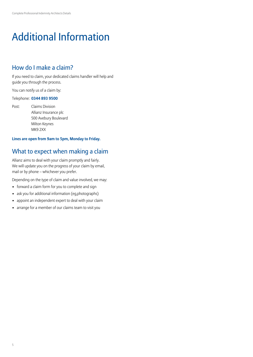# Additional Information

## How do I make a claim?

If you need to claim, your dedicated claims handler will help and guide you through the process.

You can notify us of a claim by:

### Telephone: **0344 893 9500**

Post: Claims Division Allianz Insurance plc 500 Avebury Boulevard Milton Keynes MK9 2XX

### **Lines are open from 9am to 5pm, Monday to Friday.**

## What to expect when making a claim

Allianz aims to deal with your claim promptly and fairly. We will update you on the progress of your claim by email, mail or by phone – whichever you prefer.

Depending on the type of claim and value involved, we may:

- forward a claim form for you to complete and sign
- ask you for additional information (eg,photographs)
- appoint an independent expert to deal with your claim
- arrange for a member of our claims team to visit you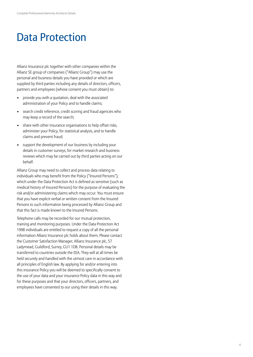## Data Protection

Allianz Insurance plc together with other companies within the Allianz SE group of companies ("Allianz Group") may use the personal and business details you have provided or which are supplied by third parties including any details of directors, officers, partners and employees (whose consent you must obtain) to:

- provide you with a quotation, deal with the associated administration of your Policy and to handle claims;
- search credit reference, credit scoring and fraud agencies who may keep a record of the search;
- share with other insurance organisations to help offset risks, administer your Policy, for statistical analysis, and to handle claims and prevent fraud;
- support the development of our business by including your details in customer surveys, for market research and business reviews which may be carried out by third parties acting on our behalf.

Allianz Group may need to collect and process data relating to individuals who may benefit from the Policy ("Insured Persons"), which under the Data Protection Act is defined as sensitive (such as medical history of Insured Persons) for the purpose of evaluating the risk and/or administering claims which may occur. You must ensure that you have explicit verbal or written consent from the Insured Persons to such information being processed by Allianz Group and that this fact is made known to the Insured Persons.

Telephone calls may be recorded for our mutual protection, training and monitoring purposes. Under the Data Protection Act 1998 individuals are entitled to request a copy of all the personal information Allianz Insurance plc holds about them. Please contact the Customer Satisfaction Manager, Allianz Insurance plc, 57 Ladymead, Guildford, Surrey, GU1 1DB. Personal details may be transferred to countries outside the EEA. They will at all times be held securely and handled with the utmost care in accordance with all principles of English law. By applying for and/or entering into this insurance Policy you will be deemed to specifically consent to the use of your data and your insurance Policy data in this way and for these purposes and that your directors, officers, partners, and employees have consented to our using their details in this way.